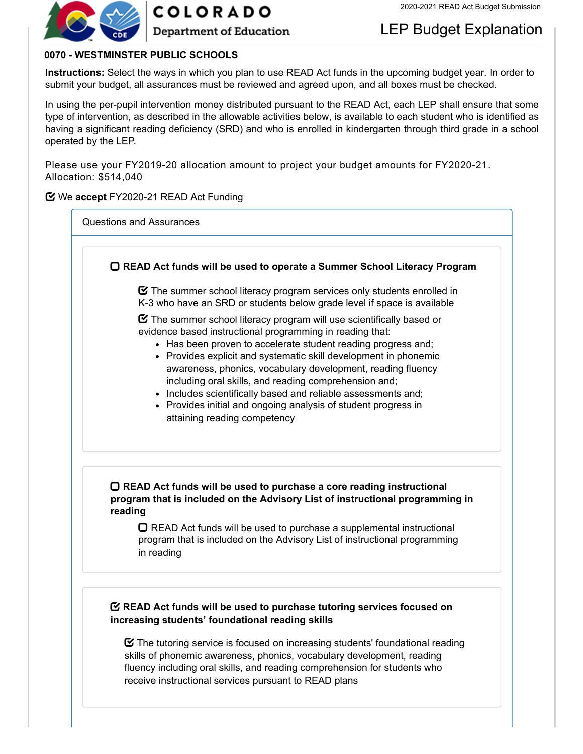

**COLORADO** 

**Department of Education** 

# LEP Budget Explanation

## **0070 - WESTMINSTER PUBLIC SCHOOLS**

**Instructions:** Select the ways in which you plan to use READ Act funds in the upcoming budget year. In order to submit your budget, all assurances must be reviewed and agreed upon, and all boxes must be checked.

In using the per-pupil intervention money distributed pursuant to the READ Act, each LEP shall ensure that some type of intervention, as described in the allowable activities below, is available to each student who is identified as having a significant reading deficiency (SRD) and who is enrolled in kindergarten through third grade in a school operated by the LEP.

Please use your FY2019-20 allocation amount to project your budget amounts for FY2020-21. Allocation: \$514,040

## **Y** We accept FY2020-21 READ Act Funding

Questions and Assurances

|         | $\mathcal G$ The summer school literacy program services only students enrolled in<br>K-3 who have an SRD or students below grade level if space is available                                                                                                                                                                                                                                                                                                                                                                                                                           |
|---------|-----------------------------------------------------------------------------------------------------------------------------------------------------------------------------------------------------------------------------------------------------------------------------------------------------------------------------------------------------------------------------------------------------------------------------------------------------------------------------------------------------------------------------------------------------------------------------------------|
|         | $\mathbf{\mathcal{C}}$ The summer school literacy program will use scientifically based or<br>evidence based instructional programming in reading that:<br>• Has been proven to accelerate student reading progress and;<br>• Provides explicit and systematic skill development in phonemic<br>awareness, phonics, vocabulary development, reading fluency<br>including oral skills, and reading comprehension and;<br>• Includes scientifically based and reliable assessments and;<br>• Provides initial and ongoing analysis of student progress in<br>attaining reading competency |
| reading | ○ READ Act funds will be used to purchase a core reading instructional<br>program that is included on the Advisory List of instructional programming in<br>◯ READ Act funds will be used to purchase a supplemental instructional<br>program that is included on the Advisory List of instructional programming<br>in reading                                                                                                                                                                                                                                                           |

 $\boldsymbol{\heartsuit}$  The tutoring service is focused on increasing students' foundational reading skills of phonemic awareness, phonics, vocabulary development, reading fluency including oral skills, and reading comprehension for students who receive instructional services pursuant to READ plans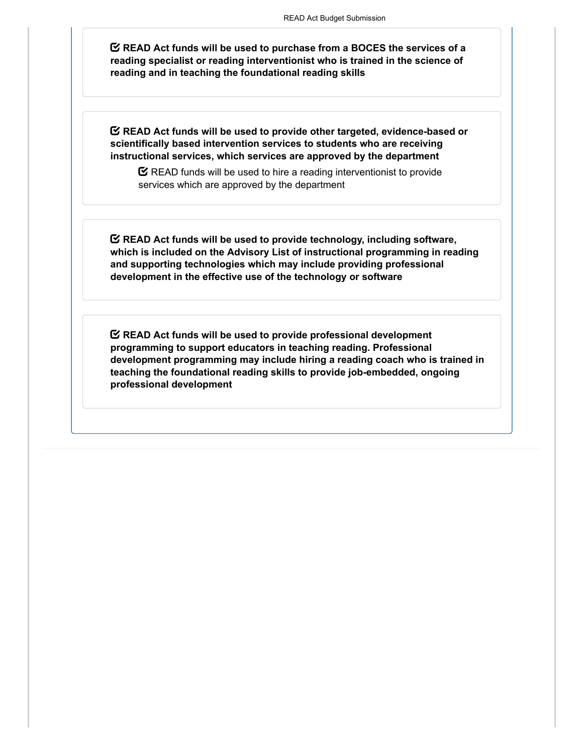**READ Act funds will be used to purchase from a BOCES the services of a reading specialist or reading interventionist who is trained in the science of reading and in teaching the foundational reading skills**

**READ Act funds will be used to provide other targeted, evidence-based or scientifically based intervention services to students who are receiving instructional services, which services are approved by the department**

 $\mathbf C$  READ funds will be used to hire a reading interventionist to provide services which are approved by the department

**READ Act funds will be used to provide technology, including software, which is included on the Advisory List of instructional programming in reading and supporting technologies which may include providing professional development in the effective use of the technology or software**

**READ Act funds will be used to provide professional development programming to support educators in teaching reading. Professional development programming may include hiring a reading coach who is trained in teaching the foundational reading skills to provide job-embedded, ongoing professional development**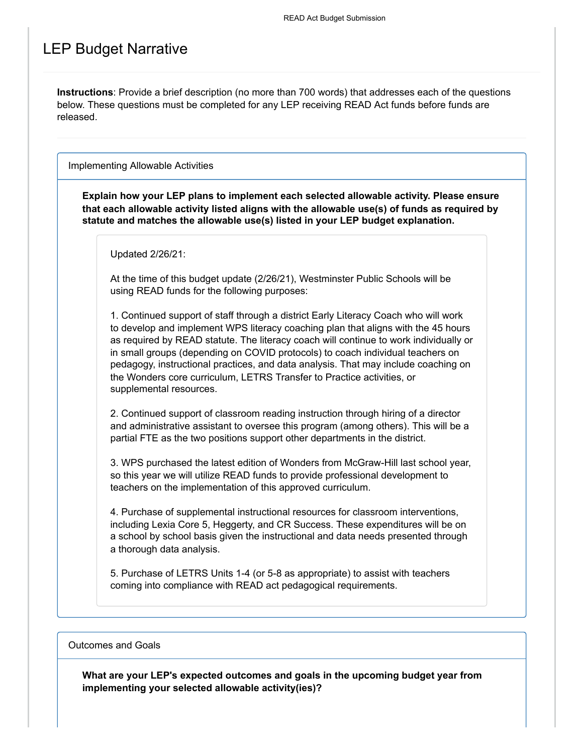# LEP Budget Narrative

**Instructions**: Provide a brief description (no more than 700 words) that addresses each of the questions below. These questions must be completed for any LEP receiving READ Act funds before funds are released.

Implementing Allowable Activities

**Explain how your LEP plans to implement each selected allowable activity. Please ensure that each allowable activity listed aligns with the allowable use(s) of funds as required by statute and matches the allowable use(s) listed in your LEP budget explanation.**

Updated 2/26/21:

At the time of this budget update (2/26/21), Westminster Public Schools will be using READ funds for the following purposes:

1. Continued support of staff through a district Early Literacy Coach who will work to develop and implement WPS literacy coaching plan that aligns with the 45 hours as required by READ statute. The literacy coach will continue to work individually or in small groups (depending on COVID protocols) to coach individual teachers on pedagogy, instructional practices, and data analysis. That may include coaching on the Wonders core curriculum, LETRS Transfer to Practice activities, or supplemental resources.

2. Continued support of classroom reading instruction through hiring of a director and administrative assistant to oversee this program (among others). This will be a partial FTE as the two positions support other departments in the district.

3. WPS purchased the latest edition of Wonders from McGraw-Hill last school year, so this year we will utilize READ funds to provide professional development to teachers on the implementation of this approved curriculum.

4. Purchase of supplemental instructional resources for classroom interventions, including Lexia Core 5, Heggerty, and CR Success. These expenditures will be on a school by school basis given the instructional and data needs presented through a thorough data analysis.

5. Purchase of LETRS Units 1-4 (or 5-8 as appropriate) to assist with teachers coming into compliance with READ act pedagogical requirements.

Outcomes and Goals

**What are your LEP's expected outcomes and goals in the upcoming budget year from implementing your selected allowable activity(ies)?**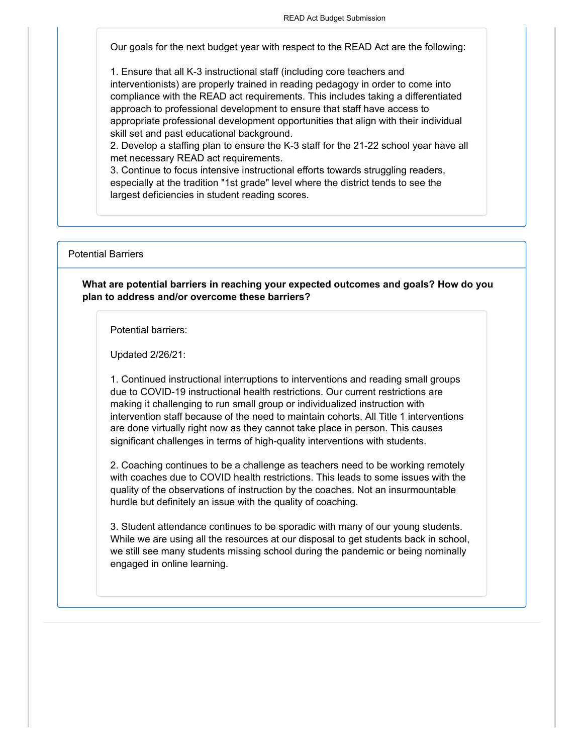Our goals for the next budget year with respect to the READ Act are the following:

1. Ensure that all K-3 instructional staff (including core teachers and interventionists) are properly trained in reading pedagogy in order to come into compliance with the READ act requirements. This includes taking a differentiated approach to professional development to ensure that staff have access to appropriate professional development opportunities that align with their individual skill set and past educational background.

2. Develop a staffing plan to ensure the K-3 staff for the 21-22 school year have all met necessary READ act requirements.

3. Continue to focus intensive instructional efforts towards struggling readers, especially at the tradition "1st grade" level where the district tends to see the largest deficiencies in student reading scores.

Potential Barriers

**What are potential barriers in reaching your expected outcomes and goals? How do you plan to address and/or overcome these barriers?**

Potential barriers:

Updated 2/26/21:

1. Continued instructional interruptions to interventions and reading small groups due to COVID-19 instructional health restrictions. Our current restrictions are making it challenging to run small group or individualized instruction with intervention staff because of the need to maintain cohorts. All Title 1 interventions are done virtually right now as they cannot take place in person. This causes significant challenges in terms of high-quality interventions with students.

2. Coaching continues to be a challenge as teachers need to be working remotely with coaches due to COVID health restrictions. This leads to some issues with the quality of the observations of instruction by the coaches. Not an insurmountable hurdle but definitely an issue with the quality of coaching.

3. Student attendance continues to be sporadic with many of our young students. While we are using all the resources at our disposal to get students back in school, we still see many students missing school during the pandemic or being nominally engaged in online learning.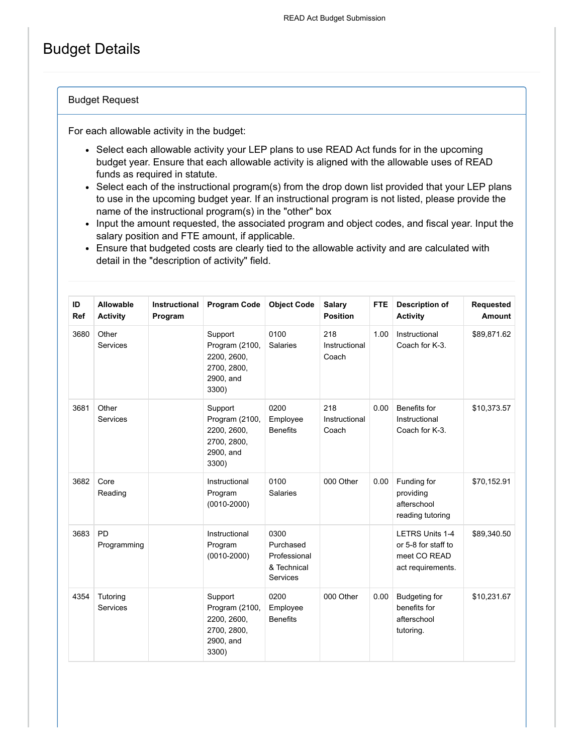# Budget Details

#### Budget Request

For each allowable activity in the budget:

- Select each allowable activity your LEP plans to use READ Act funds for in the upcoming budget year. Ensure that each allowable activity is aligned with the allowable uses of READ funds as required in statute.
- Select each of the instructional program(s) from the drop down list provided that your LEP plans to use in the upcoming budget year. If an instructional program is not listed, please provide the name of the instructional program(s) in the "other" box
- Input the amount requested, the associated program and object codes, and fiscal year. Input the salary position and FTE amount, if applicable.
- Ensure that budgeted costs are clearly tied to the allowable activity and are calculated with detail in the "description of activity" field.

| ID<br><b>Ref</b> | Allowable<br><b>Activity</b> | Instructional<br>Program | <b>Program Code</b>                                                           | <b>Object Code</b>                                           | <b>Salary</b><br><b>Position</b> | <b>FTE</b> | <b>Description of</b><br><b>Activity</b>                                           | <b>Requested</b><br><b>Amount</b> |
|------------------|------------------------------|--------------------------|-------------------------------------------------------------------------------|--------------------------------------------------------------|----------------------------------|------------|------------------------------------------------------------------------------------|-----------------------------------|
| 3680             | Other<br>Services            |                          | Support<br>Program (2100,<br>2200, 2600,<br>2700, 2800,<br>2900, and<br>3300) | 0100<br><b>Salaries</b>                                      | 218<br>Instructional<br>Coach    | 1.00       | Instructional<br>Coach for K-3.                                                    | \$89,871.62                       |
| 3681             | Other<br>Services            |                          | Support<br>Program (2100,<br>2200, 2600,<br>2700, 2800,<br>2900, and<br>3300) | 0200<br>Employee<br><b>Benefits</b>                          | 218<br>Instructional<br>Coach    | 0.00       | Benefits for<br>Instructional<br>Coach for K-3.                                    | \$10,373.57                       |
| 3682             | Core<br>Reading              |                          | Instructional<br>Program<br>$(0010 - 2000)$                                   | 0100<br><b>Salaries</b>                                      | 000 Other                        | 0.00       | Funding for<br>providing<br>afterschool<br>reading tutoring                        | \$70,152.91                       |
| 3683             | <b>PD</b><br>Programming     |                          | Instructional<br>Program<br>$(0010 - 2000)$                                   | 0300<br>Purchased<br>Professional<br>& Technical<br>Services |                                  |            | <b>LETRS Units 1-4</b><br>or 5-8 for staff to<br>meet CO READ<br>act requirements. | \$89,340.50                       |
| 4354             | Tutoring<br>Services         |                          | Support<br>Program (2100,<br>2200, 2600,<br>2700, 2800,<br>2900, and<br>3300) | 0200<br>Employee<br><b>Benefits</b>                          | 000 Other                        | 0.00       | <b>Budgeting for</b><br>benefits for<br>afterschool<br>tutoring.                   | \$10,231.67                       |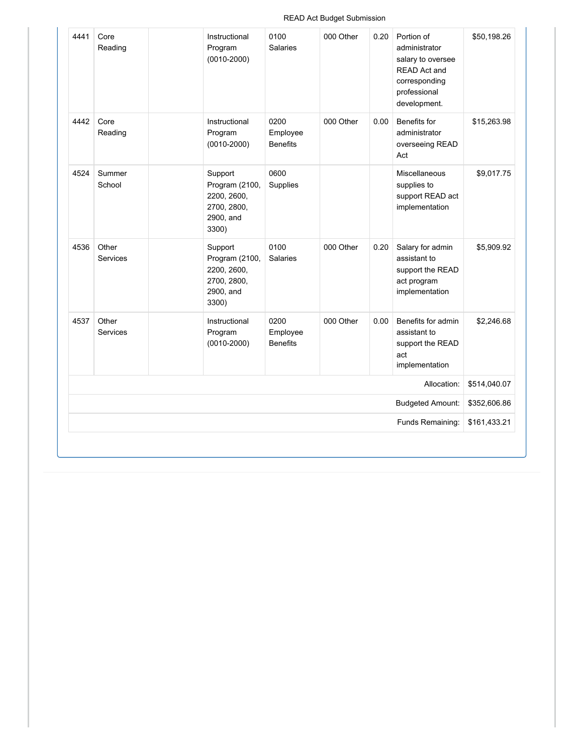#### READ Act Budget Submission

| 4441 | Core<br>Reading          | Instructional<br>Program<br>$(0010 - 2000)$                                   | 0100<br><b>Salaries</b>             | 000 Other | 0.20 | Portion of<br>administrator<br>salary to oversee<br><b>READ Act and</b><br>corresponding<br>professional<br>development. | \$50,198.26  |
|------|--------------------------|-------------------------------------------------------------------------------|-------------------------------------|-----------|------|--------------------------------------------------------------------------------------------------------------------------|--------------|
| 4442 | Core<br>Reading          | Instructional<br>Program<br>$(0010 - 2000)$                                   | 0200<br>Employee<br><b>Benefits</b> | 000 Other | 0.00 | Benefits for<br>administrator<br>overseeing READ<br>Act                                                                  | \$15,263.98  |
| 4524 | Summer<br>School         | Support<br>Program (2100,<br>2200, 2600,<br>2700, 2800,<br>2900, and<br>3300) | 0600<br>Supplies                    |           |      | Miscellaneous<br>supplies to<br>support READ act<br>implementation                                                       | \$9,017.75   |
| 4536 | Other<br><b>Services</b> | Support<br>Program (2100,<br>2200, 2600,<br>2700, 2800,<br>2900, and<br>3300) | 0100<br><b>Salaries</b>             | 000 Other | 0.20 | Salary for admin<br>assistant to<br>support the READ<br>act program<br>implementation                                    | \$5,909.92   |
| 4537 | Other<br><b>Services</b> | Instructional<br>Program<br>$(0010 - 2000)$                                   | 0200<br>Employee<br><b>Benefits</b> | 000 Other | 0.00 | Benefits for admin<br>assistant to<br>support the READ<br>act<br>implementation                                          | \$2,246.68   |
|      |                          |                                                                               |                                     |           |      | Allocation:                                                                                                              | \$514,040.07 |
|      |                          |                                                                               |                                     |           |      | <b>Budgeted Amount:</b>                                                                                                  | \$352,606.86 |
|      |                          |                                                                               |                                     |           |      | Funds Remaining:                                                                                                         | \$161,433.21 |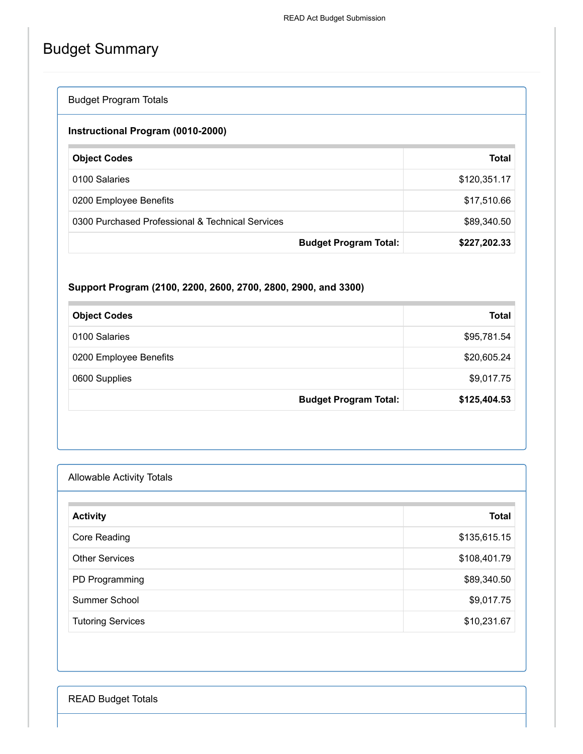# Budget Summary

# Budget Program Totals

## **Instructional Program (0010-2000)**

| <b>Object Codes</b>                              |                              | Total        |
|--------------------------------------------------|------------------------------|--------------|
| 0100 Salaries                                    |                              | \$120,351.17 |
| 0200 Employee Benefits                           |                              | \$17,510.66  |
| 0300 Purchased Professional & Technical Services |                              | \$89,340.50  |
|                                                  | <b>Budget Program Total:</b> | \$227,202.33 |

## **Support Program (2100, 2200, 2600, 2700, 2800, 2900, and 3300)**

| <b>Object Codes</b>          | <b>Total</b> |
|------------------------------|--------------|
| 0100 Salaries                | \$95,781.54  |
| 0200 Employee Benefits       | \$20,605.24  |
| 0600 Supplies                | \$9,017.75   |
| <b>Budget Program Total:</b> | \$125,404.53 |

| <b>Allowable Activity Totals</b> |              |
|----------------------------------|--------------|
| <b>Activity</b>                  | <b>Total</b> |
| Core Reading                     | \$135,615.15 |
| <b>Other Services</b>            | \$108,401.79 |
| PD Programming                   | \$89,340.50  |
| Summer School                    | \$9,017.75   |
| <b>Tutoring Services</b>         | \$10,231.67  |

READ Budget Totals